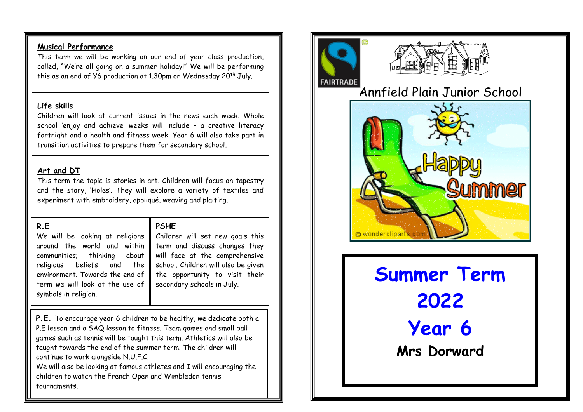### **Musical Performance**

This term we will be working on our end of year class production, called, "We're all going on a summer holiday!" We will be performing this as an end of  $Y6$  production at 1.30pm on Wednesday 20<sup>th</sup> July.

### **Life skills**

Children will look at current issues in the news each week. Whole school 'enjoy and achieve' weeks will include – a creative literacy fortnight and a health and fitness week. Year 6 will also take part in transition activities to prepare them for secondary school.

## **Art and DT**

This term the topic is stories in art. Children will focus on tapestry and the story, 'Holes'. They will explore a variety of textiles and experiment with embroidery, appliqué, weaving and plaiting.

## **R.E**

We will be looking at religions around the world and within communities; thinking about religious beliefs and the environment. Towards the end of term we will look at the use of symbols in religion.

# **PSHE**

Children will set new goals this term and discuss changes they will face at the comprehensive school. Children will also be given the opportunity to visit their secondary schools in July.

**P.E.** To encourage year 6 children to be healthy, we dedicate both a P.E lesson and a SAQ lesson to fitness. Team games and small ball games such as tennis will be taught this term. Athletics will also be taught towards the end of the summer term. The children will continue to work alongside N.U.F.C.

We will also be looking at famous athletes and I will encouraging the children to watch the French Open and Wimbledon tennis tournaments.





Annfield Plain Junior School



**Summer Term 2022 Year 6 Mrs Dorward**